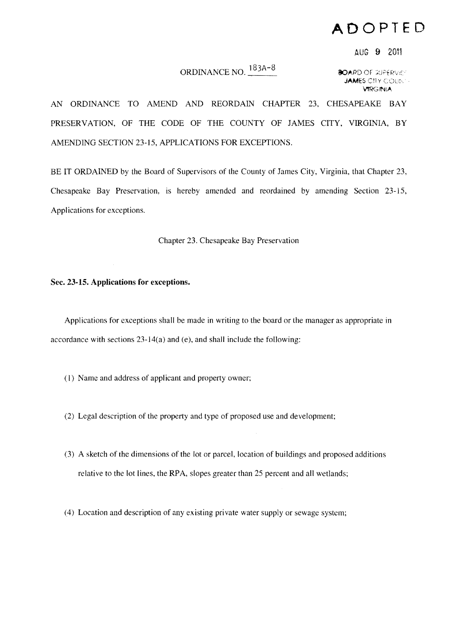## **ADOPTED**

AUG 9 2011

## ORDINANCE NO.  $\frac{183A-8}{8}$  80ARD of SUPERVICE

**JAMES CITY COUNS VIRGINIA** 

AN ORDINANCE TO AMEND AND REORDAIN CHAPTER 23, CHESAPEAKE BAY PRESERVATION, OF THE CODE OF THE COUNTY OF JAMES CITY, VIRGINIA, BY AMENDING SECTION 23-15, APPLICATIONS FOR EXCEPTIONS.

BE IT ORDAINED by the Board of Supervisors of the County of James City, Virginia, that Chapter 23, Chesapeake Bay Preservation, is hereby amended and reordained by amending Section 23-15, Applications for exceptions.

Chapter 23. Chesapeake Bay Preservation

## Sec. 23·15. Applications for exceptions.

Applications for exceptions shall be made in writing to the board or the manager as appropriate in accordance with sections  $23-14(a)$  and (e), and shall include the following:

- (I) Name and address of applicant and property owner;
- (2) Legal description of the property and type of proposed use and development;
- (3) A sketch of the dimensions of the lot or parcel, location of buildings and proposed additions relative to the lot lines, the RPA, slopes greater than 25 percent and all wetlands;
- (4) Location and description of any existing private water supply or sewage system;